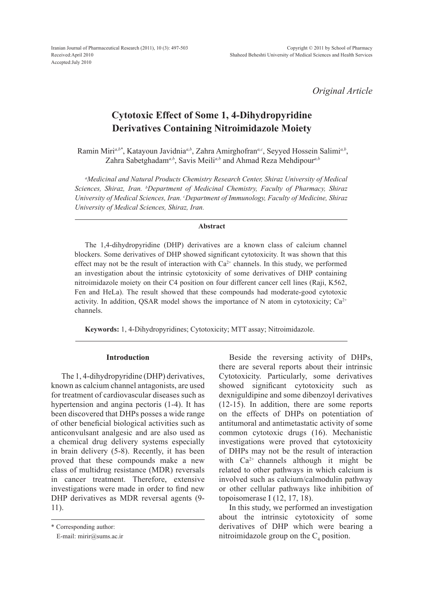*Original Article*

# **Cytotoxic Effect of Some 1, 4-Dihydropyridine Derivatives Containing Nitroimidazole Moiety**

Ramin Miri<sup>a,b\*</sup>, Katayoun Javidnia<sup>*a*,b</sup>, Zahra Amirghofran<sup>a,c</sup>, Seyyed Hossein Salimi<sup>a,b</sup>, Zahra Sabetghadam*a,b*, Savis Meili*a,b* and Ahmad Reza Mehdipour*a,b*

*a Medicinal and Natural Products Chemistry Research Center, Shiraz University of Medical Sciences, Shiraz, Iran. b Department of Medicinal Chemistry, Faculty of Pharmacy, Shiraz University of Medical Sciences, Iran. c Department of Immunology, Faculty of Medicine, Shiraz University of Medical Sciences, Shiraz, Iran.*

### **Abstract**

The 1,4-dihydropyridine (DHP) derivatives are a known class of calcium channel blockers. Some derivatives of DHP showed significant cytotoxicity. It was shown that this effect may not be the result of interaction with  $Ca<sup>2+</sup>$  channels. In this study, we performed an investigation about the intrinsic cytotoxicity of some derivatives of DHP containing nitroimidazole moiety on their C4 position on four different cancer cell lines (Raji, K562, Fen and HeLa). The result showed that these compounds had moderate-good cytotoxic activity. In addition, QSAR model shows the importance of N atom in cytotoxicity;  $Ca^{2+}$ channels.

**Keywords:** 1, 4-Dihydropyridines; Cytotoxicity; MTT assay; Nitroimidazole.

### **Introduction**

The 1, 4-dihydropyridine (DHP) derivatives, known as calcium channel antagonists, are used for treatment of cardiovascular diseases such as hypertension and angina pectoris (1-4). It has been discovered that DHPs posses a wide range of other beneficial biological activities such as anticonvulsant analgesic and are also used as a chemical drug delivery systems especially in brain delivery (5-8). Recently, it has been proved that these compounds make a new class of multidrug resistance (MDR) reversals in cancer treatment. Therefore, extensive investigations were made in order to find new DHP derivatives as MDR reversal agents (9- 11).

Beside the reversing activity of DHPs, there are several reports about their intrinsic Cytotoxicity. Particularly, some derivatives showed significant cytotoxicity such as dexniguldipine and some dibenzoyl derivatives (12-15). In addition, there are some reports on the effects of DHPs on potentiation of antitumoral and antimetastatic activity of some common cytotoxic drugs (16). Mechanistic investigations were proved that cytotoxicity of DHPs may not be the result of interaction with  $Ca^{2+}$  channels although it might be related to other pathways in which calcium is involved such as calcium/calmodulin pathway or other cellular pathways like inhibition of topoisomerase I (12, 17, 18).

In this study, we performed an investigation about the intrinsic cytotoxicity of some derivatives of DHP which were bearing a nitroimidazole group on the  $C_4$  position.

<sup>\*</sup> Corresponding author:

E-mail: mirir@sums.ac.ir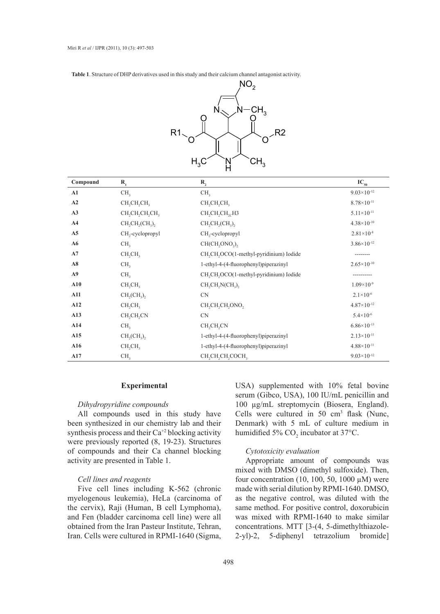**Table 1**. Structure of DHP derivatives used in this study and their calcium channel antagonist activity.



| Compound       | $R_{1}$                                                         | $\mathbf{R}_{2}$                                                 | $IC_{50}$              |
|----------------|-----------------------------------------------------------------|------------------------------------------------------------------|------------------------|
| A1             | CH <sub>3</sub>                                                 | CH <sub>3</sub>                                                  | $9.03 \times 10^{-12}$ |
| A2             | CH <sub>2</sub> CH <sub>2</sub> CH <sub>3</sub>                 | CH <sub>2</sub> CH <sub>2</sub> CH <sub>3</sub>                  | $8.78 \times 10^{-11}$ |
| A3             | CH <sub>2</sub> CH <sub>2</sub> CH <sub>2</sub> CH <sub>3</sub> | $CH, CH, CH, _{2C}H$ 3                                           | $5.11 \times 10^{-11}$ |
| A <sub>4</sub> | $CH_2CH_2(CH_3)$                                                | $CH_2CH_2(CH_3)$                                                 | $4.38 \times 10^{-10}$ |
| A <sub>5</sub> | CH <sub>2</sub> -cyclopropyl                                    | $CH2$ -cyclopropyl                                               | $2.81 \times 10^{-8}$  |
| A6             | CH <sub>3</sub>                                                 | CH(CH,ONO <sub>2</sub> ),                                        | $3.86 \times 10^{-12}$ |
| A7             | CH <sub>2</sub> CH <sub>3</sub>                                 | CH <sub>2</sub> CH <sub>2</sub> OCO(1-methyl-pyridinium) Iodide  |                        |
| A8             | CH <sub>3</sub>                                                 | 1-ethyl-4-(4-fluorophenyl)piperazinyl                            | $2.65 \times 10^{-10}$ |
| A9             | CH <sub>3</sub>                                                 | CH <sub>2</sub> CH <sub>2</sub> OCO(1-methyl-pyridinium) Iodide  |                        |
| A10            | CH <sub>2</sub> CH <sub>3</sub>                                 | $CH,CH, N(CH_2)$                                                 | $1.09\times10^{-9}$    |
| A11            | $CH2(CH3)2$                                                     | CN                                                               | $2.1 \times 10^{-6}$   |
| A12            | CH <sub>2</sub> CH <sub>3</sub>                                 | CH <sub>2</sub> CH <sub>2</sub> CH <sub>2</sub> ONO <sub>2</sub> | $4.87 \times 10^{-12}$ |
| A13            | $CH_2CH_2CN$                                                    | <b>CN</b>                                                        | $5.4 \times 10^{-6}$   |
| A14            | CH <sub>3</sub>                                                 | CH <sub>2</sub> CH <sub>2</sub> CN                               | $6.86\times10^{-13}$   |
| A15            | $CH2(CH3)2$                                                     | 1-ethyl-4-(4-fluorophenyl)piperazinyl                            | $2.13 \times 10^{-11}$ |
| A16            | CH <sub>2</sub> CH <sub>3</sub>                                 | 1-ethyl-4-(4-fluorophenyl)piperazinyl                            | $4.88 \times 10^{-11}$ |
| A17            | CH <sub>3</sub>                                                 | CH, CH, CH, COCH,                                                | $9.03 \times 10^{-12}$ |

### **Experimental**

# *Dihydropyridine compounds*

All compounds used in this study have been synthesized in our chemistry lab and their synthesis process and their Ca<sup>+2</sup> blocking activity were previously reported (8, 19-23). Structures of compounds and their Ca channel blocking activity are presented in Table 1.

### *Cell lines and reagents*

Five cell lines including K-562 (chronic myelogenous leukemia), HeLa (carcinoma of the cervix), Raji (Human, B cell Lymphoma), and Fen (bladder carcinoma cell line) were all obtained from the Iran Pasteur Institute, Tehran, Iran. Cells were cultured in RPMI-1640 (Sigma,

USA) supplemented with 10% fetal bovine serum (Gibco, USA), 100 IU/mL penicillin and 100 µg/mL streptomycin (Biosera, England). Cells were cultured in  $50 \text{ cm}^3$  flask (Nunc, Denmark) with 5 mL of culture medium in humidified 5%  $CO_2$  incubator at 37°C.

## *Cytotoxicity evaluation*

Appropriate amount of compounds was mixed with DMSO (dimethyl sulfoxide). Then, four concentration (10, 100, 50, 1000  $\mu$ M) were made with serial dilution by RPMI-1640. DMSO, as the negative control, was diluted with the same method. For positive control, doxorubicin was mixed with RPMI-1640 to make similar concentrations. MTT [3-(4, 5-dimethylthiazole-2-yl)-2, 5-diphenyl tetrazolium bromide]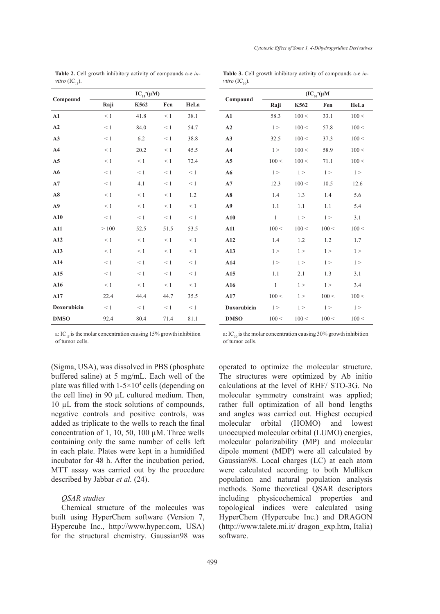|                | $IC_{15}^{\ a}(\mu M)$ |          |          |          |  |
|----------------|------------------------|----------|----------|----------|--|
| Compound       | Raji                   | K562     | Fen      | HeLa     |  |
| A1             | $\leq 1$               | 41.8     | $\leq 1$ | 38.1     |  |
| A2             | $\leq 1$               | 84.0     | $\leq 1$ | 54.7     |  |
| A3             | $\leq 1$               | 6.2      | $\leq 1$ | 38.8     |  |
| A4             | $\leq 1$               | 20.2     | $\leq 1$ | 45.5     |  |
| A <sub>5</sub> | $\leq 1$               | $\leq 1$ | $\leq 1$ | 72.4     |  |
| A6             | $\leq 1$               | $\leq 1$ | $\leq 1$ | $\leq 1$ |  |
| A7             | $\leq 1$               | 4.1      | $\leq 1$ | < 1      |  |
| A8             | $\leq 1$               | $\leq 1$ | $\leq 1$ | 1.2      |  |
| A9             | $\leq 1$               | $\leq 1$ | $\leq 1$ | < 1      |  |
| A10            | $\leq 1$               | $\leq 1$ | $\leq 1$ | $\leq 1$ |  |
| A11            | >100                   | 52.5     | 51.5     | 53.5     |  |
| A12            | $\leq 1$               | $\leq 1$ | $\leq 1$ | < 1      |  |
| A13            | $\leq 1$               | $\leq 1$ | $\leq 1$ | $\leq 1$ |  |
| A14            | $\leq 1$               | $\leq 1$ | $\leq 1$ | $\leq 1$ |  |
| A15            | $\leq 1$               | $\leq 1$ | $\leq 1$ | $\leq 1$ |  |
| A16            | $\leq 1$               | $\leq 1$ | $\leq 1$ | $\leq 1$ |  |
| A17            | 22.4                   | 44.4     | 44.7     | 35.5     |  |
| Doxorubicin    | < 1                    | $\leq 1$ | $\leq 1$ | $\leq 1$ |  |
| <b>DMSO</b>    | 92.4                   | 80.4     | 71.4     | 81.1     |  |

**Table 2.** Cell growth inhibitory activity of compounds a-e *invitro*  $(\text{IC}_{15})$ .

| <b>Table 3.</b> Cell growth inhibitory activity of compounds a-e <i>in</i> - |  |  |  |  |
|------------------------------------------------------------------------------|--|--|--|--|
| <i>vitro</i> $(IC_{20})$ .                                                   |  |  |  |  |

| Compound       | $\rm{(IC}_{_{30}}^{~a} (\mu M)$ |         |         |         |  |  |
|----------------|---------------------------------|---------|---------|---------|--|--|
|                | Raji                            | K562    | Fen     | HeLa    |  |  |
| A1             | 58.3                            | 100 <   | 33.1    | 100 <   |  |  |
| A2             | $1\geq$                         | 100 <   | 57.8    | 100 <   |  |  |
| A3             | 32.5                            | 100 <   | 37.3    | 100 <   |  |  |
| A <sub>4</sub> | $1\geq$                         | 100 <   | 58.9    | 100 <   |  |  |
| A <sub>5</sub> | 100 <                           | 100 <   | 71.1    | 100 <   |  |  |
| A6             | $1\geq$                         | $1\geq$ | 1 >     | $1\geq$ |  |  |
| A7             | 12.3                            | 100 <   | 10.5    | 12.6    |  |  |
| A8             | 1.4                             | 1.3     | 1.4     | 5.6     |  |  |
| A <sub>9</sub> | 1.1                             | 1.1     | 1.1     | 5.4     |  |  |
| A10            | $\mathbf{1}$                    | 1 >     | 1 >     | 3.1     |  |  |
| A11            | 100 <                           | 100 <   | 100 <   | 100 <   |  |  |
| A12            | 1.4                             | 1.2     | 1.2     | 1.7     |  |  |
| A13            | $1\geq$                         | 1 >     | $1\geq$ | 1 >     |  |  |
| A14            | $1\geq$                         | $1\geq$ | $1\geq$ | $1\geq$ |  |  |
| A15            | 1.1                             | 2.1     | 1.3     | 3.1     |  |  |
| A16            | 1                               | $1\geq$ | $1\geq$ | 3.4     |  |  |
| A17            | 100 <                           | 1 >     | 100 <   | 100 <   |  |  |
| Doxorubicin    | $1\geq$                         | $1\geq$ | $1\geq$ | $1\geq$ |  |  |
| <b>DMSO</b>    | 100 <                           | 100 <   | 100 <   | 100 <   |  |  |

a: IC<sub>15</sub> is the molar concentration causing  $15%$  growth inhibition of tumor cells.

(Sigma, USA), was dissolved in PBS (phosphate buffered saline) at 5 mg/mL. Each well of the plate was filled with  $1-5\times10^4$  cells (depending on the cell line) in 90 µL cultured medium. Then, 10 µL from the stock solutions of compounds, negative controls and positive controls, was added as triplicate to the wells to reach the final concentration of 1, 10, 50, 100  $\mu$ M. Three wells containing only the same number of cells left in each plate. Plates were kept in a humidified incubator for 48 h. After the incubation period, MTT assay was carried out by the procedure described by Jabbar *et al.* (24).

# *QSAR studies*

Chemical structure of the molecules was built using HyperChem software (Version 7, Hypercube Inc., http://www.hyper.com, USA) for the structural chemistry. Gaussian98 was a:  $IC_{20}$  is the molar concentration causing 30% growth inhibition of tumor cells.

operated to optimize the molecular structure. The structures were optimized by Ab initio calculations at the level of RHF/ STO-3G. No molecular symmetry constraint was applied; rather full optimization of all bond lengths and angles was carried out. Highest occupied molecular orbital (HOMO) and lowest unoccupied molecular orbital (LUMO) energies, molecular polarizability (MP) and molecular dipole moment (MDP) were all calculated by Gaussian98. Local charges (LC) at each atom were calculated according to both Mulliken population and natural population analysis methods. Some theoretical QSAR descriptors including physicochemical properties and topological indices were calculated using HyperChem (Hypercube Inc.) and DRAGON (http://www.talete.mi.it/ dragon\_exp.htm, Italia) software.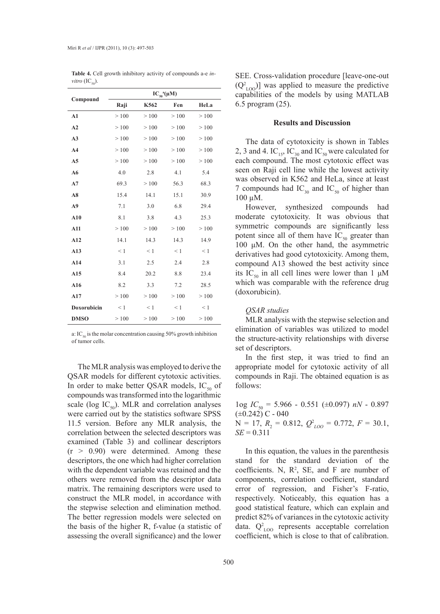|                | $IC_{50}^{\ a}(\mu M)$ |          |          |          |  |  |
|----------------|------------------------|----------|----------|----------|--|--|
| Compound       | Raji                   | K562     | Fen      | HeLa     |  |  |
| A1             | >100                   | >100     | >100     | >100     |  |  |
| A2             | >100                   | >100     | >100     | $>100$   |  |  |
| A3             | >100                   | >100     | >100     | >100     |  |  |
| A <sub>4</sub> | >100                   | >100     | >100     | >100     |  |  |
| A <sub>5</sub> | >100                   | >100     | >100     | >100     |  |  |
| A6             | 4.0                    | 2.8      | 4.1      | 5.4      |  |  |
| A7             | 69.3                   | >100     | 56.3     | 68.3     |  |  |
| A8             | 15.4                   | 14.1     | 15.1     | 30.9     |  |  |
| A <sub>9</sub> | 7.1                    | 3.0      | 6.8      | 29.4     |  |  |
| A10            | 8.1                    | 3.8      | 4.3      | 25.3     |  |  |
| A11            | $>100$                 | >100     | >100     | >100     |  |  |
| A12            | 14.1                   | 14.3     | 14.3     | 14.9     |  |  |
| A13            | $\leq 1$               | $\leq 1$ | $\leq 1$ | $\leq 1$ |  |  |
| A14            | 3.1                    | 2.5      | 2.4      | 2.8      |  |  |
| A15            | 8.4                    | 20.2     | 8.8      | 23.4     |  |  |
| A16            | 8.2                    | 3.3      | 7.2      | 28.5     |  |  |
| A17            | >100                   | >100     | >100     | >100     |  |  |
| Doxorubicin    | $\leq 1$               | $\leq 1$ | $\leq 1$ | $\leq 1$ |  |  |
| <b>DMSO</b>    | >100                   | >100     | >100     | >100     |  |  |

**Table 4.** Cell growth inhibitory activity of compounds a-e *invitro*  $(IC_{50})$ .

a: IC<sub>50</sub> is the molar concentration causing 50% growth inhibition of tumor cells.

The MLR analysis was employed to derive the QSAR models for different cytotoxic activities. In order to make better QSAR models,  $IC_{50}$  of compounds was transformed into the logarithmic scale (log  $IC_{50}$ ). MLR and correlation analyses were carried out by the statistics software SPSS 11.5 version. Before any MLR analysis, the correlation between the selected descriptors was examined (Table 3) and collinear descriptors  $(r > 0.90)$  were determined. Among these descriptors, the one which had higher correlation with the dependent variable was retained and the others were removed from the descriptor data matrix. The remaining descriptors were used to construct the MLR model, in accordance with the stepwise selection and elimination method. The better regression models were selected on the basis of the higher R, f-value (a statistic of assessing the overall significance) and the lower

SEE. Cross-validation procedure [leave-one-out  $(Q_{\text{LOO}}^2)$  was applied to measure the predictive capabilities of the models by using MATLAB 6.5 program (25).

### **Results and Discussion**

The data of cytotoxicity is shown in Tables 2, 3 and 4. IC<sub>15</sub>, IC<sub>30</sub> and IC<sub>50</sub> were calculated for each compound. The most cytotoxic effect was seen on Raji cell line while the lowest activity was observed in K562 and HeLa, since at least 7 compounds had  $IC_{30}$  and  $IC_{50}$  of higher than 100 µM.

However, synthesized compounds had moderate cytotoxicity. It was obvious that symmetric compounds are significantly less potent since all of them have  $IC_{50}$  greater than 100 μM. On the other hand, the asymmetric derivatives had good cytotoxicity. Among them, compound A13 showed the best activity since its IC<sub>50</sub> in all cell lines were lower than 1  $\mu$ M which was comparable with the reference drug (doxorubicin).

### *QSAR studies*

MLR analysis with the stepwise selection and elimination of variables was utilized to model the structure-activity relationships with diverse set of descriptors.

In the first step, it was tried to find an appropriate model for cytotoxic activity of all compounds in Raji. The obtained equation is as follows:

1og *IC*50 = 5.966 - 0.551 (±0.097) *nN* - 0.897  $(\pm 0.242)$  C - 040  $N = 17$ ,  $R_2 = 0.812$ ,  $Q_{LOO}^2 = 0.772$ ,  $F = 30.1$ ,  $SE = 0.311$ 

In this equation, the values in the parenthesis stand for the standard deviation of the coefficients. N,  $R^2$ , SE, and F are number of components, correlation coefficient, standard error of regression, and Fisher's F-ratio, respectively. Noticeably, this equation has a good statistical feature, which can explain and predict 82% of variances in the cytotoxic activity data.  $Q_{\text{LOO}}^2$  represents acceptable correlation coefficient, which is close to that of calibration.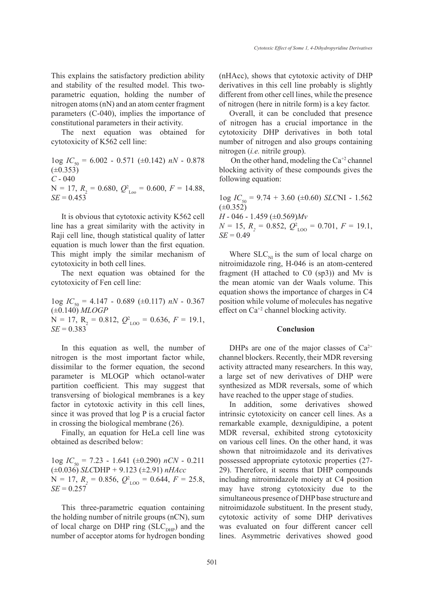This explains the satisfactory prediction ability and stability of the resulted model. This twoparametric equation, holding the number of nitrogen atoms (nN) and an atom center fragment parameters (C-040), implies the importance of constitutional parameters in their activity.

The next equation was obtained for cytotoxicity of K562 cell line:

1og *IC*50 = 6.002 - 0.571 (±0.142) *nN* - 0.878  $(\pm 0.353)$ *C* - 040  $N = 17$ ,  $R_2 = 0.680$ ,  $Q_{\text{Loo}}^2 = 0.600$ ,  $F = 14.88$ ,  $SE = 0.453$ 

It is obvious that cytotoxic activity K562 cell line has a great similarity with the activity in Raji cell line, though statistical quality of latter equation is much lower than the first equation. This might imply the similar mechanism of cytotoxicity in both cell lines.

The next equation was obtained for the cytotoxicity of Fen cell line:

1og *IC*50 = 4.147 - 0.689 (±0.117) *nN* - 0.367 (±0.140) *MLOGP*  $N = 17$ ,  $R_2 = 0.812$ ,  $Q_{\text{LOO}}^2 = 0.636$ ,  $F = 19.1$ ,  $SE = 0.383$ 

In this equation as well, the number of nitrogen is the most important factor while, dissimilar to the former equation, the second parameter is MLOGP which octanol-water partition coefficient. This may suggest that transversing of biological membranes is a key factor in cytotoxic activity in this cell lines, since it was proved that log P is a crucial factor in crossing the biological membrane (26).

Finally, an equation for HeLa cell line was obtained as described below:

1og *IC*50 = 7.23 - 1.641 (±0.290) *nCN* - 0.211 (±0.036) *SLC*DHP *+* 9.123 (±2.91) *nHAcc*  $N = 17$ ,  $R_2 = 0.856$ ,  $Q_{\text{LOO}}^2 = 0.644$ ,  $F = 25.8$ ,  $SE = 0.257$ 

This three-parametric equation containing the holding number of nitrile groups (nCN), sum of local charge on DHP ring  $(SLC_{\text{pup}})$  and the number of acceptor atoms for hydrogen bonding (nHAcc), shows that cytotoxic activity of DHP derivatives in this cell line probably is slightly different from other cell lines, while the presence of nitrogen (here in nitrile form) is a key factor.

Overall, it can be concluded that presence of nitrogen has a crucial importance in the cytotoxicity DHP derivatives in both total number of nitrogen and also groups containing nitrogen (*i.e.* nitrile group).

On the other hand, modeling the  $Ca^{+2}$  channel blocking activity of these compounds gives the following equation:

 $1_{0}$ g  $IC_{50} = 9.74 + 3.60 \ (\pm 0.60)$  *SLC*NI - 1.562  $(\pm 0.352)$ 

*H* - 046 - 1.459 (±0.569)*Mv*  $N = 15$ ,  $R_2 = 0.852$ ,  $Q_{\text{LOO}}^2 = 0.701$ ,  $F = 19.1$ ,  $SE = 0.49$ 

Where  $SLC_{\text{NI}}$  is the sum of local charge on nitroimidazole ring, H-046 is an atom-centered fragment (H attached to  $C0$  (sp3)) and Mv is the mean atomic van der Waals volume. This equation shows the importance of charges in C4 position while volume of molecules has negative effect on Ca+2 channel blocking activity.

#### **Conclusion**

DHPs are one of the major classes of  $Ca^{2+}$ channel blockers. Recently, their MDR reversing activity attracted many researchers. In this way, a large set of new derivatives of DHP were synthesized as MDR reversals, some of which have reached to the upper stage of studies.

In addition, some derivatives showed intrinsic cytotoxicity on cancer cell lines. As a remarkable example, dexniguldipine, a potent MDR reversal, exhibited strong cytotoxicity on various cell lines. On the other hand, it was shown that nitroimidazole and its derivatives possessed appropriate cytotoxic properties (27- 29). Therefore, it seems that DHP compounds including nitroimidazole moiety at C4 position may have strong cytotoxicity due to the simultaneous presence of DHP base structure and nitroimidazole substituent. In the present study, cytotoxic activity of some DHP derivatives was evaluated on four different cancer cell lines. Asymmetric derivatives showed good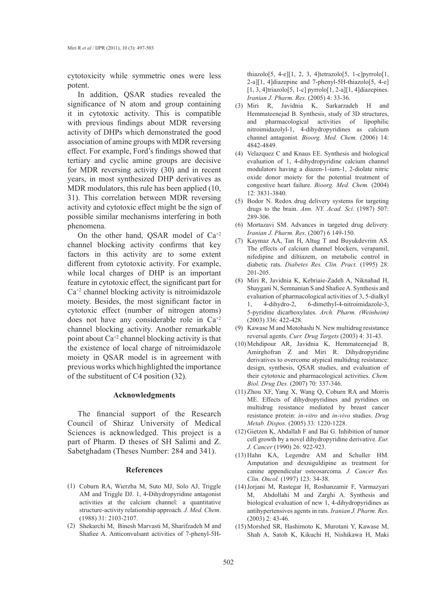cytotoxicity while symmetric ones were less potent.

In addition, QSAR studies revealed the significance of N atom and group containing it in cytotoxic activity. This is compatible with previous findings about MDR reversing activity of DHPs which demonstrated the good association of amine groups with MDR reversing effect. For example, Ford's findings showed that tertiary and cyclic amine groups are decisive for MDR reversing activity (30) and in recent years, in most synthesized DHP derivatives as MDR modulators, this rule has been applied (10, 31). This correlation between MDR reversing activity and cytotoxic effect might be the sign of possible similar mechanisms interfering in both phenomena.

On the other hand, QSAR model of  $Ca^{+2}$ channel blocking activity confirms that key factors in this activity are to some extent different from cytotoxic activity. For example, while local charges of DHP is an important feature in cytotoxic effect, the significant part for  $Ca^{+2}$  channel blocking activity is nitroimidazole moiety. Besides, the most significant factor in cytotoxic effect (number of nitrogen atoms) does not have any considerable role in Ca+2 channel blocking activity. Another remarkable point about  $Ca^{+2}$  channel blocking activity is that the existence of local charge of nitroimidazole moiety in QSAR model is in agreement with previous works which highlighted the importance of the substituent of C4 position (32).

### **Acknowledgments**

The financial support of the Research Council of Shiraz University of Medical Sciences is acknowledged. This project is a part of Pharm. D theses of SH Salimi and Z. Sabetghadam (Theses Number: 284 and 341).

#### **References**

- Coburn RA, Wierzba M, Suto MJ, Solo AJ, Triggle (1) AM and Triggle DJ. 1, 4-Dihydropyridine antagonist activities at the calcium channel: a quantitative structure-activity relationship approach. *J. Med. Chem*. (1988) 31: 2103-2107.
- (2) Shekarchi M, Binesh Marvasti M, Sharifzadeh M and Shafiee A. Anticonvulsant activities of 7-phenyl-5H-

thiazolo[5, 4-e][1, 2, 3, 4]tetrazolo[5, 1-c]pyrrolo[1, 2-a][1, 4]diazepine and 7-phenyl-5H-thiazolo[5, 4-e]  $[1, 3, 4]$ triazolo $[5, 1-c]$  pyrrolo $[1, 2-a][1, 4]$ diazepines. *Iranian J. Pharm. Res*. (2005) 4: 33-36.

- Miri R, Javidnia K, Sarkarzadeh H and (3) Hemmateenejad B. Synthesis, study of 3D structures, and pharmacological activities of lipophilic nitroimidazolyl-1, 4-dihydropyridines as calcium channel antagonist. *Bioorg. Med. Chem.* (2006) 14: 4842-4849.
- Velazquez C and Knaus EE. Synthesis and biological (4) evaluation of 1, 4-dihydropyridine calcium channel modulators having a diazen-1-ium-1, 2-diolate nitric oxide donor moiety for the potential treatment of congestive heart failure. *Bioorg. Med. Chem.* (2004) 12: 3831-3840.
- Bodor N. Redox drug delivery systems for targeting (5) drugs to the brain. *Ann. NY. Acad. Sci.* (1987) 507: 289-306.
- (6) Mortazavi SM. Advances in targeted drug delivery. *Iranian J. Pharm. Res*. (2007) 6 149-150.
- $(7)$  Kaymaz AA, Tan H, Altug T and Buyukdevrim AS. The effects of calcium channel blockers, verapamil, nifedipine and diltiazem, on metabolic control in diabetic rats. *Diabetes Res. Clin. Pract.* (1995) 28: 201-205.
- Miri R, Javidnia K, Kebriaie-Zadeh A, Niknahad H, (8) Shaygani N, Semnanian S and Shafiee A. Synthesis and evaluation of pharmacological activities of 3, 5-dialkyl 1, 4-dihydro-2, 6-dimethyl-4-nitroimidazole-3, 5-pyridine dicarboxylates. *Arch. Pharm. (Weinheim)* (2003) 336: 422-428.
- $(9)$  Kawase M and Motohashi N. New multidrug resistance reversal agents. *Curr. Drug Targets* (2003) 4: 31-43.
- (10) Mehdipour AR, Javidnia K, Hemmateenejad B, Amirghofran Z and Miri R. Dihydropyridine derivatives to overcome atypical multidrug resistance: design, synthesis, QSAR studies, and evaluation of their cytotoxic and pharmacological activities. *Chem. Biol. Drug Des.* (2007) 70: 337-346.
- $(11)$  Zhou XF, Yang X, Wang Q, Coburn RA and Morris ME. Effects of dihydropyridines and pyridines on multidrug resistance mediated by breast cancer resistance protein: *in-vitro* and *in-vivo* studies. *Drug Metab. Dispos.* (2005) 33: 1220-1228.
- $(12)$  Gietzen K, Abdallah F and Bai G. Inhibition of tumor cell growth by a novel dihydropyridine derivative. *Eur. J. Cancer* (1990) 26: 922-923.
- $(13)$  Hahn KA, Legendre AM and Schuller HM. Amputation and dexniguldipine as treatment for canine appendicular osteosarcoma. *J. Cancer Res. Clin. Oncol.* (1997) 123: 34-38.
- (14) Jorjani M, Rastegar H, Roshanzamir F, Varmazyari M, Abdollahi M and Zarghi A. Synthesis and biological evaluation of new 1, 4-dihydropyridines as antihypertensives agents in rats. *Iranian J. Pharm. Res*. (2003) 2: 43-46.
- (15) Morshed SR, Hashimoto K, Murotani Y, Kawase M, Shah A, Satoh K, Kikuchi H, Nishikawa H, Maki